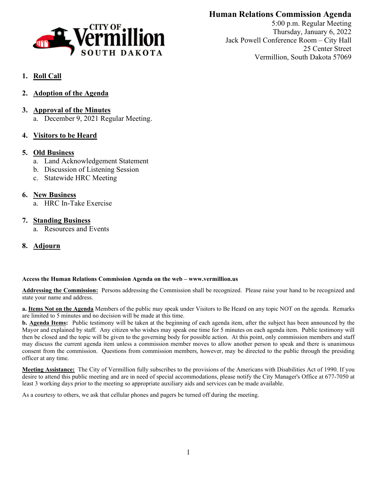

# **Human Relations Commission Agenda**

5:00 p.m. Regular Meeting Thursday, January 6, 2022 Jack Powell Conference Room – City Hall 25 Center Street Vermillion, South Dakota 57069

# **1. Roll Call**

- **2. Adoption of the Agenda**
- **3. Approval of the Minutes** a. December 9, 2021 Regular Meeting.
- **4. Visitors to be Heard**

## **5. Old Business**

- a. Land Acknowledgement Statement
- b. Discussion of Listening Session
- c. Statewide HRC Meeting

## **6. New Business**

a. HRC In-Take Exercise

## **7. Standing Business**

a. Resources and Events

## **8. Adjourn**

## **Access the Human Relations Commission Agenda on the web – www.vermillion.us**

**Addressing the Commission:** Persons addressing the Commission shall be recognized. Please raise your hand to be recognized and state your name and address.

**a. Items Not on the Agenda** Members of the public may speak under Visitors to Be Heard on any topic NOT on the agenda. Remarks are limited to 5 minutes and no decision will be made at this time.

**b. Agenda Items:** Public testimony will be taken at the beginning of each agenda item, after the subject has been announced by the Mayor and explained by staff. Any citizen who wishes may speak one time for 5 minutes on each agenda item. Public testimony will then be closed and the topic will be given to the governing body for possible action. At this point, only commission members and staff may discuss the current agenda item unless a commission member moves to allow another person to speak and there is unanimous consent from the commission. Questions from commission members, however, may be directed to the public through the presiding officer at any time.

**Meeting Assistance:** The City of Vermillion fully subscribes to the provisions of the Americans with Disabilities Act of 1990. If you desire to attend this public meeting and are in need of special accommodations, please notify the City Manager's Office at 677-7050 at least 3 working days prior to the meeting so appropriate auxiliary aids and services can be made available.

As a courtesy to others, we ask that cellular phones and pagers be turned off during the meeting.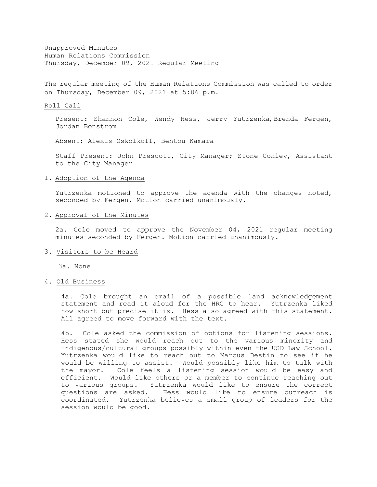Unapproved Minutes Human Relations Commission Thursday, December 09, 2021 Regular Meeting

The regular meeting of the Human Relations Commission was called to order on Thursday, December 09, 2021 at 5:06 p.m.

#### Roll Call

Present: Shannon Cole, Wendy Hess, Jerry Yutrzenka, Brenda Fergen, Jordan Bonstrom

Absent: Alexis Oskolkoff, Bentou Kamara

Staff Present: John Prescott, City Manager; Stone Conley, Assistant to the City Manager

#### 1. Adoption of the Agenda

Yutrzenka motioned to approve the agenda with the changes noted, seconded by Fergen. Motion carried unanimously.

#### 2. Approval of the Minutes

2a. Cole moved to approve the November 04, 2021 regular meeting minutes seconded by Fergen. Motion carried unanimously.

#### 3. Visitors to be Heard

3a. None

## 4. Old Business

4a. Cole brought an email of a possible land acknowledgement statement and read it aloud for the HRC to hear. Yutrzenka liked how short but precise it is. Hess also agreed with this statement. All agreed to move forward with the text.

4b. Cole asked the commission of options for listening sessions. Hess stated she would reach out to the various minority and indigenous/cultural groups possibly within even the USD Law School. Yutrzenka would like to reach out to Marcus Destin to see if he would be willing to assist. Would possibly like him to talk with the mayor. Cole feels a listening session would be easy and efficient. Would like others or a member to continue reaching out to various groups. Yutrzenka would like to ensure the correct questions are asked. Hess would like to ensure outreach is coordinated. Yutrzenka believes a small group of leaders for the session would be good.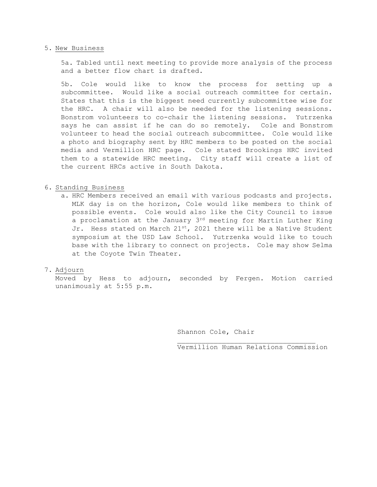#### 5. New Business

5a. Tabled until next meeting to provide more analysis of the process and a better flow chart is drafted.

5b. Cole would like to know the process for setting up a subcommittee. Would like a social outreach committee for certain. States that this is the biggest need currently subcommittee wise for the HRC. A chair will also be needed for the listening sessions. Bonstrom volunteers to co-chair the listening sessions. Yutrzenka says he can assist if he can do so remotely. Cole and Bonstrom volunteer to head the social outreach subcommittee. Cole would like a photo and biography sent by HRC members to be posted on the social media and Vermillion HRC page. Cole stated Brookings HRC invited them to a statewide HRC meeting. City staff will create a list of the current HRCs active in South Dakota.

### 6. Standing Business

a. HRC Members received an email with various podcasts and projects. MLK day is on the horizon, Cole would like members to think of possible events. Cole would also like the City Council to issue a proclamation at the January 3<sup>rd</sup> meeting for Martin Luther King Jr. Hess stated on March  $21^{st}$ , 2021 there will be a Native Student symposium at the USD Law School. Yutrzenka would like to touch base with the library to connect on projects. Cole may show Selma at the Coyote Twin Theater.

## 7. Adjourn

Moved by Hess to adjourn, seconded by Fergen. Motion carried unanimously at 5:55 p.m.

Shannon Cole, Chair

\_\_\_\_\_\_\_\_\_\_\_\_\_\_\_\_\_\_\_\_\_\_\_\_\_\_\_\_\_\_\_\_\_\_ Vermillion Human Relations Commission